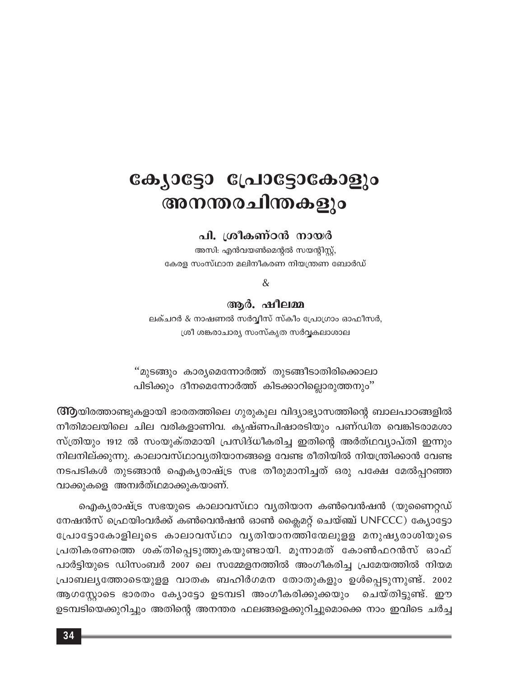# ക്യോട്ടോ പ്രോട്ടോകോളും അനന്തരചിന്തകളും

#### പി. ശ്രീകണ്ഠൻ നായർ

അസി: എൻവയൺമെന്റൽ സയന്റിസ്റ്റ്, കേരള സംസ്ഥാന മലിനീകരണ നിയന്ത്രണ ബോർഡ്

&

#### ആർ. ഷീലമ്മ

ലക്ചറർ & നാഷണൽ സർവ്വീസ് സ്കീം പ്രോഗ്രാം ഓഫീസർ, ശ്രീ ശങ്കരാചാര്യ സംസ്കൃത സർവ്വകലാശാല

"മുടങ്ങും കാര്യമെന്നോർത്ത് തുടങ്ങീടാതിരിക്കൊലാ പിടിക്കും ദീനമെന്നോർത്ത് കിടക്കാറില്ലൊരുത്തനും''

ന്ത്രയിരത്താണ്ടുകളായി ഭാരതത്തിലെ ഗുരുകുല വിദ്യാഭ്യാസത്തിന്റെ ബാലപാഠങ്ങളിൽ നീതിമാലയിലെ ചില വരികളാണിവ. കൃഷ്ണപിഷാരടിയും പണ്ഡിത വെങ്കിടരാമശാ സ്ത്രിയും 1912 ൽ സംയുക്തമായി പ്രസിദ്ധീകരിച്ച ഇതിന്റെ അർത്ഥവ്യാപ്തി ഇന്നും നിലനില്ക്കുന്നു. കാലാവസ്ഥാവ്യതിയാനങ്ങളെ വേണ്ട രീതിയിൽ നിയന്ത്രിക്കാൻ വേണ്ട നടപടികൾ തുടങ്ങാൻ ഐകൃരാഷ്ട്ര സഭ തീരുമാനിച്ചത് ഒരു പക്ഷേ മേൽപ്പറഞ്ഞ വാക്കുകളെ അമ്പർത്ഥമാക്കുകയാണ്.

ഐക്യരാഷ്ട്ര സഭയുടെ കാലാവസ്ഥാ വ്യതിയാന കൺവെൻഷൻ (യുണൈറ്റഡ് നേഷൻസ് ഫ്രെയിംവർക്ക് കൺവെൻഷൻ ഓൺ ക്ലൈമറ്റ് ചെയ്ഞ്ച് UNFCCC) ക്യോട്ടോ പ്രോട്ടോകോളിലൂടെ കാലാവസ്ഥാ വൃതിയാനത്തിന്മേലുളള മനുഷ്യരാശിയുടെ പ്രതികരണത്തെ ശക്തിപ്പെടുത്തുകയുണ്ടായി. മൂന്നാമത് കോൺഫറൻസ് ഓഫ് പാർട്ടിയുടെ ഡിസംബർ 2007 ലെ സമ്മേളനത്തിൽ അംഗീകരിച്ച പ്രമേയത്തിൽ നിയമ പ്രാബല്യത്തോടെയുളള വാതക ബഹിർഗമന തോതുകളും ഉൾപ്പെടുന്നുണ്ട്. 2002 ആഗസ്റ്റോടെ ഭാരതം ക്യോട്ടോ ഉടമ്പടി അംഗീകരിക്കുക്കയും ചെയ്തിട്ടുണ്ട്. ഈ ഉടമ്പടിയെക്കുറിച്ചും അതിന്റെ അനന്തര ഫലങ്ങളെക്കുറിച്ചുമൊക്കെ നാം ഇവിടെ ചർച്ച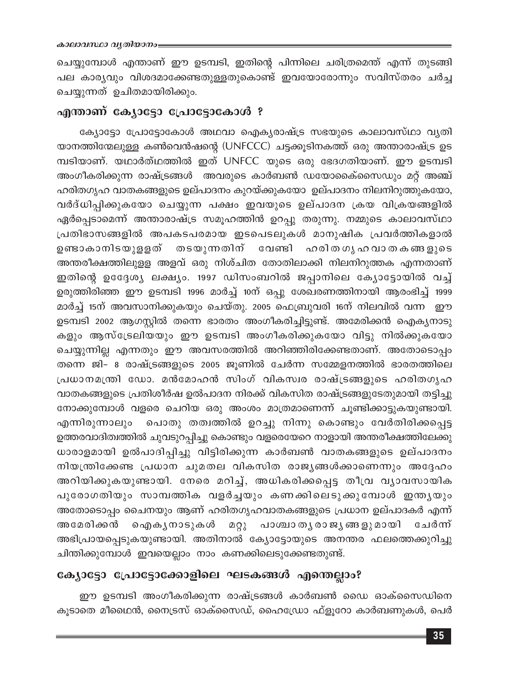ചെയ്യുമ്പോൾ എന്താണ് ഈ ഉടമ്പടി, ഇതിന്റെ പിന്നിലെ ചരിത്രമെന്ത് എന്ന് തുടങ്ങി പല കാര്യവും വിശദമാക്കേണ്ടതുള്ളതുകൊണ്ട് ഇവയോരോന്നും സവിസ്തരം ചർച്ച ചെയ്യുന്നത് ഉചിതമായിരിക്കും.

#### എന്താണ് ക്യോട്ടോ പ്രോട്ടോകോൾ ?

ക്യോട്ടോ പ്രോട്ടോകോൾ അഥവാ ഐക്യരാഷ്ട്ര സഭയുടെ കാലാവസ്ഥാ വ്യതി യാനത്തിന്മേലുള്ള കൺവെൻഷന്റെ (UNFCCC) ചട്ടക്കൂടിനകത്ത് ഒരു അന്താരാഷ്ട്ര ഉട മ്പടിയാണ്. യഥാർത്ഥത്തിൽ ഇത് UNFCC യുടെ ഒരു ഭേദഗതിയാണ്. ഈ ഉടമ്പടി അംഗീകരിക്കുന്ന രാഷ്ട്രങ്ങൾ അവരുടെ കാർബൺ ഡയോകൈ്സൈഡും മറ്റ് അഞ്ച് ഹരിതഗൃഹ വാതകങ്ങളുടെ ഉല്പാദനം കുറയ്ക്കുകയോ ഉല്പാദനം നിലനിറുത്തുകയോ, വർദ്ധിപ്പിക്കുകയോ ചെയ്യുന്ന പക്ഷം ഇവയുടെ ഉല്പാദന ക്രയ വിക്രയങ്ങളിൽ ഏർപ്പെടാമെന്ന് അന്താരാഷ്ട്ര സമൂഹത്തിൻ ഉറപ്പു തരുന്നു. നമ്മുടെ കാലാവസ്ഥാ പ്രതിഭാസങ്ങളിൽ അപകടപരമായ ഇടപെടലുകൾ മാനുഷിക പ്രവർത്തികളാൽ ഉണ്ടാകാനിടയുളളത് തടയുന്നതിന് വേണ്ടി ഹരിതഗൃഹവാതകങ്ങളുടെ അന്തരീക്ഷത്തിലുളള അളവ് ഒരു നിശ്ചിത തോതിലാക്കി നിലനിറുത്തക എന്നതാണ് ഇതിന്റെ ഉദ്ദേശ്യ ലക്ഷ്യം. 1997 ഡിസംബറിൽ ജപ്പാനിലെ ക്യോട്ടോയിൽ വച്ച് ഉരുത്തിരിഞ്ഞ ഈ ഉടമ്പടി 1996 മാർച്ച് 10ന് ഒപ്പു ശേഖരണത്തിനായി ആരംഭിച്ച് 1999 മാർച്ച് 15ന് അവസാനിക്കുകയും ചെയ്തു. 2005 ഫെബ്രുവരി 16ന് നിലവിൽ വന്ന ഈ ഉടമ്പടി 2002 ആഗസ്റ്റിൽ തന്നെ ഭാരതം അംഗീകരിച്ചിട്ടുണ്ട്. അമേരിക്കൻ ഐക്യനാടു കളും ആസ്ട്രേലിയയും ഈ ഉടമ്പടി അംഗീകരിക്കുകയോ വിട്ടു നിൽക്കുകയോ ചെയ്യുന്നില്ല എന്നതും ഈ അവസരത്തിൽ അറിഞ്ഞിരിക്കേണ്ടതാണ്. അതോടൊപ്പം തന്നെ ജി- 8 രാഷ്ട്രങ്ങളുടെ 2005 ജൂണിൽ ചേർന്ന സമ്മേളനത്തിൽ ഭാരതത്തിലെ പ്രധാനമന്ത്രി ഡോ. മൻമോഹൻ സിംഗ് വികസ്വര രാഷ്ട്രങ്ങളുടെ ഹരിതഗൃഹ വാതകങ്ങളുടെ പ്രതിശീർഷ ഉൽപാദന നിരക്ക് വികസിത രാഷ്ട്രങ്ങളുടേതുമായി തട്ടിച്ചു നോക്കുമ്പോൾ വളരെ ചെറിയ ഒരു അംശം മാത്രമാണെന്ന് ചൂണ്ടിക്കാട്ടുകയുണ്ടായി. എന്നിരുന്നാലും പൊതു തത്വത്തിൽ ഉറച്ചു നിന്നു കൊണ്ടും വേർതിരിക്കപ്പെട്ട ഉത്തരവാദിത്വത്തിൽ ചുവടുറപ്പിച്ചു കൊണ്ടും വളരെയേറെ നാളായി അന്തരീക്ഷത്തിലേക്കു ധാരാളമായി ഉൽപാദിപ്പിച്ചു വിട്ടിരിക്കുന്ന കാർബൺ വാതകങ്ങളുടെ ഉല്പാദനം നിയന്ത്രിക്കേണ്ട പ്രധാന ചുമതല വികസിത രാജ്യങ്ങൾക്കാണെന്നും അദ്ദേഹം അറിയിക്കുകയുണ്ടായി. നേരെ മറിച്ച്, അധികരിക്കപ്പെട്ട തീവ്ര വ്യാവസായിക പുരോഗതിയും സാമ്പത്തിക വളർച്ചയും കണക്കിലെടുക്കുമ്പോൾ ഇന്ത്യയും അതോടൊപ്പം ചൈനയും ആണ് ഹരിതഗൃഹവാതകങ്ങളുടെ പ്രധാന ഉല്പാദകർ എന്ന് അമേരിക്കൻ ഐ കൃനാടുകൾ മറ്റു പാശ്ചാതൃരാജൃങ്ങളുമായി ചേർന്ന് അഭിപ്രായപ്പെടുകയുണ്ടായി. അതിനാൽ ക്യോട്ടോയുടെ അനന്തര ഫലത്തെക്കുറിച്ചു ചിന്തിക്കുമ്പോൾ ഇവയെല്ലാം നാം കണക്കിലെടുക്കേണ്ടതുണ്ട്.

### ക്യോട്ടോ പ്രോട്ടോക്കോളിലെ ഘടകങ്ങൾ എന്തെല്ലാം?

ഈ ഉടമ്പടി അംഗീകരിക്കുന്ന രാഷ്ട്രങ്ങൾ കാർബൺ ഡൈ ഓക്സൈഡിനെ കൂടാതെ മീഥൈൻ, നൈട്രസ് ഓക്സൈഡ്, ഹൈഡ്രോ ഫ്ളൂറോ കാർബണുകൾ, പെർ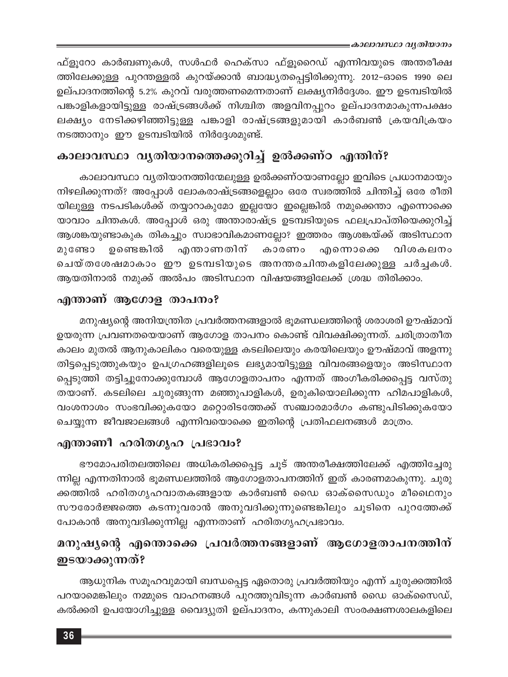≡കാലാവസ്ഥാ വൃതിയാനം

ഫ്ളൂറോ കാർബണുകൾ, സൾഫർ ഹെക്സാ ഫ്ളൂറൈഡ് എന്നിവയുടെ അന്തരീക്ഷ ത്തിലേക്കുള്ള പുറന്തള്ളൽ കുറയ്ക്കാൻ ബാദ്ധ്യതപ്പെട്ടിരിക്കുന്നു. 2012-ഓടെ 1990 ലെ ഉല്പാദനത്തിന്റെ 5.2% കുറവ് വരുത്തണമെന്നതാണ് ലക്ഷ്യനിർദ്ദേശം. ഈ ഉടമ്പടിയിൽ പങ്കാളികളായിട്ടുള്ള രാഷ്ട്രങ്ങൾക്ക് നിശ്ചിത അളവിനപ്പുറം ഉല്പാദനമാകുന്നപക്ഷം ലക്ഷ്യം നേടിക്കഴിഞ്ഞിട്ടുള്ള പങ്കാളി രാഷ്ട്രങ്ങളുമായി കാർബൺ ക്രയവിക്രയം നടത്താനും ഈ ഉടമ്പടിയിൽ നിർദ്ദേശമുണ്ട്.

# കാലാവസ്ഥാ വൃതിയാനത്തെക്കുറിച്ച് ഉൽക്കണ്ഠ എന്തിന്?

കാലാവസ്ഥാ വ്യതിയാനത്തിന്മേലുള്ള ഉൽക്കണ്ഠയാണല്ലോ ഇവിടെ പ്രധാനമായും നിഴലിക്കുന്നത്? അപ്പോൾ ലോകരാഷ്ട്രങ്ങളെല്ലാം ഒരേ സ്വരത്തിൽ ചിന്തിച്ച് ഒരേ രീതി യിലുള്ള നടപടികൾക്ക് തയ്യാറാകുമോ ഇല്ലയോ ഇല്ലെങ്കിൽ നമുക്കെന്താ എന്നൊക്കെ യാവാം ചിന്തകൾ. അപ്പോൾ ഒരു അന്താരാഷ്ട്ര ഉടമ്പടിയുടെ ഫലപ്രാപ്തിയെക്കുറിച്ച് ആശങ്കയുണ്ടാകുക തികച്ചും സ്വാഭാവികമാണല്ലോ? ഇത്തരം ആശങ്കയ്ക്ക് അടിസ്ഥാന മുണ്ടോ ഉണ്ടെങ്കിൽ എന്താണതിന് കാരണം എന്നൊക്കെ വിശകലനം ചെയ്തശേഷമാകാം ഈ ഉടമ്പടിയുടെ അനന്തരചിന്തകളിലേക്കുള്ള ചർച്ചകൾ. ആയതിനാൽ നമുക്ക് അൽപം അടിസ്ഥാന വിഷയങ്ങളിലേക്ക് ശ്രദ്ധ തിരിക്കാം.

#### എന്താണ് ആഗോള താപനം?

മനുഷ്യന്റെ അനിയന്ത്രിത പ്രവർത്തനങ്ങളാൽ ഭൂമണ്ഡലത്തിന്റെ ശരാശരി ഊഷ്മാവ് ഉയരുന്ന പ്രവണതയെയാണ് ആഗോള താപനം കൊണ്ട് വിവക്ഷിക്കുന്നത്. ചരിത്രാതീത കാലം മുതൽ ആനുകാലികം വരെയുള്ള കടലിലെയും കരയിലെയും ഊഷ്മാവ് അളന്നു തിട്ടപ്പെടുത്തുകയും ഉപഗ്രഹങ്ങളിലൂടെ ലഭ്യമായിട്ടുള്ള വിവരങ്ങളെയും അടിസ്ഥാന പ്പെടുത്തി തട്ടിച്ചുനോക്കുമ്പോൾ ആഗോളതാപനം എന്നത് അംഗീകരിക്കപ്പെട്ട വസ്തു തയാണ്. കടലിലെ ചുരുങ്ങുന്ന മഞ്ഞുപാളികൾ, ഉരുകിയൊലിക്കുന്ന ഹിമപാളികൾ, വംശനാശം സംഭവിക്കുകയോ മറ്റൊരിടത്തേക്ക് സഞ്ചാരമാർഗം കണ്ടുപിടിക്കുകയോ ചെയ്യുന്ന ജീവജാലങ്ങൾ എന്നിവയൊക്കെ ഇതിന്റെ പ്രതിഫലനങ്ങൾ മാത്രം.

# എന്താണീ ഹരിതഗൃഹ പ്രഭാവം?

ഭൗമോപരിതലത്തിലെ അധികരിക്കപ്പെട്ട ചൂട് അന്തരീക്ഷത്തിലേക്ക് എത്തിച്ചേരു ന്നില്ല എന്നതിനാൽ ഭൂമണ്ഡലത്തിൽ ആഗോളതാപനത്തിന് ഇത് കാരണമാകുന്നു. ചുരു ക്കത്തിൽ ഹരിതഗൃഹവാതകങ്ങളായ കാർബൺ ഡൈ ഓക്സൈഡും മീഥൈനും സൗരോർജ്ജത്തെ കടന്നുവരാൻ അനുവദിക്കുന്നുണ്ടെങ്കിലും ചൂടിനെ പുറത്തേക്ക് പോകാൻ അനുവദിക്കുന്നില്ല എന്നതാണ് ഹരിതഗൃഹപ്രഭാവം.

# മനുഷ്യന്റെ എന്തൊക്കെ പ്രവർത്തനങ്ങളാണ് ആഗോളതാപനത്തിന് ഇടയാക്കുന്നത്?

ആധുനിക സമൂഹവുമായി ബന്ധപ്പെട്ട ഏതൊരു പ്രവർത്തിയും എന്ന് ചുരുക്കത്തിൽ പറയാമെങ്കിലും നമ്മുടെ വാഹനങ്ങൾ പുറത്തുവിടുന്ന കാർബൺ ഡൈ ഓക്സൈഡ്, കൽക്കരി ഉപയോഗിച്ചുള്ള വൈദ്യുതി ഉല്പാദനം, കന്നുകാലി സംരക്ഷണശാലകളിലെ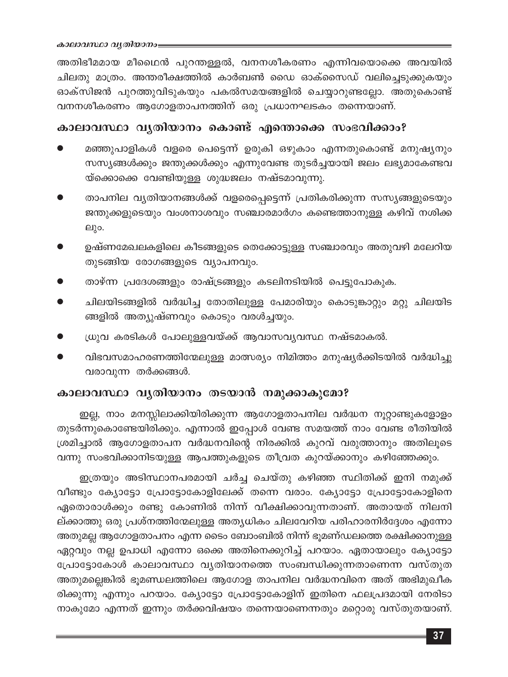അതിഭീമമായ മീഥൈൻ പുറന്തള്ളൽ, വനനശീകരണം എന്നിവയൊക്കെ അവയിൽ ചിലതു മാത്രം. അന്തരീക്ഷത്തിൽ കാർബൺ ഡൈ ഓക്സൈഡ് വലിച്ചെടുക്കുകയും ഓക്സിജൻ പുറത്തുവിടുകയും പകൽസമയങ്ങളിൽ ചെയ്യാറുണ്ടല്ലോ. അതുകൊണ്ട് വനനശീകരണം ആഗോളതാപനത്തിന് ഒരു പ്രധാനഘടകം തന്നെയാണ്.

#### കാലാവസ്ഥാ വൃതിയാനം കൊണ്ട് എന്തൊക്കെ സംഭവിക്കാം?

- മഞ്ഞുപാളികൾ വളരെ പെട്ടെന്ന് ഉരുകി ഒഴുകാം എന്നതുകൊണ്ട് മനുഷ്യനും സസ്യങ്ങൾക്കും ജന്തുക്കൾക്കും എന്നുവേണ്ട തുടർച്ചയായി ജലം ലഭ്യമാകേണ്ടവ യ്ക്കൊക്കെ വേണ്ടിയുള്ള ശുദ്ധജലം നഷ്ടമാവുന്നു.
- താപനില വ്യതിയാനങ്ങൾക്ക് വളരെപ്പെട്ടെന്ന് പ്രതികരിക്കുന്ന സസ്യങ്ങളുടെയും ജന്തുക്കളുടെയും വംശനാശവും സഞ്ചാരമാർഗം കണ്ടെത്താനുള്ള കഴിവ് നശിക്ക ലും.
- ഉഷ്ണമേഖലകളിലെ കീടങ്ങളുടെ തെക്കോട്ടുള്ള സഞ്ചാരവും അതുവഴി മലേറിയ തുടങ്ങിയ രോഗങ്ങളുടെ വ്യാപനവും.
- താഴ്ന്ന പ്രദേശങ്ങളും രാഷ്ട്രങ്ങളും കടലിനടിയിൽ പെട്ടുപോകുക.
- ചിലയിടങ്ങളിൽ വർദ്ധിച്ച തോതിലുള്ള പേമാരിയും കൊടുങ്കാറ്റും മറ്റു ചിലയിട ങ്ങളിൽ അത്യുഷ്ണവും കൊടും വരൾച്ചയും.
- ധ്രുവ കരടികൾ പോലുള്ളവയ്ക്ക് ആവാസവ്യവസ്ഥ നഷ്ടമാകൽ.
- വിഭവസമാഹരണത്തിന്മേലുള്ള മാത്സര്യം നിമിത്തം മനുഷ്യർക്കിടയിൽ വർദ്ധിച്ചു വരാവുന്ന തർക്കങ്ങൾ.

#### കാലാവസ്ഥാ വൃതിയാനം തടയാൻ നമുക്കാകുമോ?

ഇല്ല, നാം മനസ്സിലാക്കിയിരിക്കുന്ന ആഗോളതാപനില വർദ്ധന നൂറ്റാണ്ടുകളോളം തുടർന്നുകൊണ്ടേയിരിക്കും. എന്നാൽ ഇപ്പോൾ വേണ്ട സമയത്ത് നാം വേണ്ട രീതിയിൽ ശ്രമിച്ചാൽ ആഗോളതാപന വർദ്ധനവിന്റെ നിരക്കിൽ കുറവ് വരുത്താനും അതിലൂടെ വന്നു സംഭവിക്കാനിടയുള്ള ആപത്തുകളുടെ തീവ്രത കുറയ്ക്കാനും കഴിഞ്ഞേക്കും.

ഇത്രയും അടിസ്ഥാനപരമായി ചർച്ച ചെയ്തു കഴിഞ്ഞ സ്ഥിതിക്ക് ഇനി നമുക്ക് വീണ്ടും ക്യോട്ടോ പ്രോട്ടോകോളിലേക്ക് തന്നെ വരാം. ക്യോട്ടോ പ്രോട്ടോകോളിനെ ഏതൊരാൾക്കും രണ്ടു കോണിൽ നിന്ന് വീക്ഷിക്കാവുന്നതാണ്. അതായത് നിലനി ല്ക്കാത്തു ഒരു പ്രശ്നത്തിന്മേലുള്ള അത്യധികം ചിലവേറിയ പരിഹാരനിർദ്ദേശം എന്നോ അതുമല്ല ആഗോളതാപനം എന്ന ടൈം ബോംബിൽ നിന്ന് ഭൂമണ്ഡലത്തെ രക്ഷിക്കാനുള്ള ഏറ്റവും നല്ല ഉപാധി എന്നോ ഒക്കെ അതിനെക്കുറിച്ച് പറയാം. ഏതായാലും ക്യോട്ടോ പ്രോട്ടോകോൾ കാലാവസ്ഥാ വൃതിയാനത്തെ സംബന്ധിക്കുന്നതാണെന്ന വസ്തുത അതുമല്ലെങ്കിൽ ഭൂമണ്ഡലത്തിലെ ആഗോള താപനില വർദ്ധനവിനെ അത് അഭിമുഖീക രിക്കുന്നു എന്നും പറയാം. ക്യോട്ടോ പ്രോട്ടോകോളിന് ഇതിനെ ഫലപ്രദമായി നേരിടാ നാകുമോ എന്നത് ഇന്നും തർക്കവിഷയം തന്നെയാണെന്നതും മറ്റൊരു വസ്തുതയാണ്.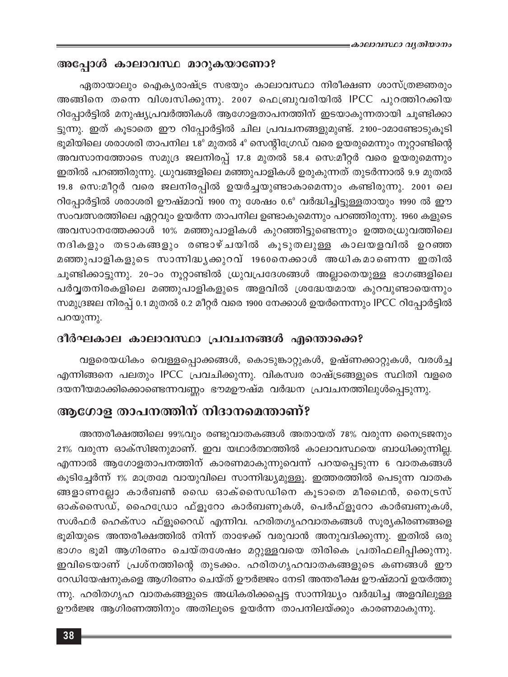#### അപ്പോൾ കാലാവസ്ഥ മാറുകയാണോ?

ഏതായാലും ഐക്യരാഷ്ട്ര സഭയും കാലാവസ്ഥാ നിരീക്ഷണ ശാസ്ത്രജ്ഞരും അങ്ങിനെ തന്നെ വിശ്വസിക്കുന്നു. 2007 ഫെബ്രുവരിയിൽ IPCC പുറത്തിറക്കിയ റിപ്പോർട്ടിൽ മനുഷ്യപ്രവർത്തികൾ ആഗോളതാപനത്തിന് ഇടയാകുന്നതായി ചൂണ്ടിക്കാ ട്ടുന്നു. ഇത് കൂടാതെ ഈ റിപ്പോർട്ടിൽ ചില പ്രവചനങ്ങളുമുണ്ട്. 2100–ാമാണ്ടോടുകൂടി ഭൂമിയിലെ ശരാശരി താപനില 1.8° മുതൽ 4° സെന്റിഗ്രേഡ് വരെ ഉയരുമെന്നും നൂറ്റാണ്ടിന്റെ അവസാനത്തോടെ സമുദ്ര ജലനിരപ്പ് 17.8 മുതൽ 58.4 സെ:മീറ്റർ വരെ ഉയരുമെന്നും ഇതിൽ പറഞ്ഞിരുന്നു. ധ്രുവങ്ങളിലെ മഞ്ഞുപാളികൾ ഉരുകുന്നത് തുടർന്നാൽ 9.9 മുതൽ 19.8 സെ:മീറ്റർ വരെ ജലനിരപ്പിൽ ഉയർച്ചയുണ്ടാകാമെന്നും കണ്ടിരുന്നു. 2001 ലെ റിപ്പോർട്ടിൽ ശരാശരി ഊഷ്മാവ് 1900 നു ശേഷം 0.6° വർദ്ധിച്ചിട്ടുള്ളതായും 1990 ൽ ഈ സംവത്സരത്തിലെ ഏറ്റവും ഉയർന്ന താപനില ഉണ്ടാകുമെന്നും പറഞ്ഞിരുന്നു. 1960 കളുടെ അവസാനത്തേക്കാൾ 10% മഞ്ഞുപാളികൾ കുറഞ്ഞിട്ടുണ്ടെന്നും ഉത്തരധ്രുവത്തിലെ നദികളും തടാകങ്ങളും രണ്ടാഴ്ചയിൽ കൂടുതലുള്ള കാലയളവിൽ ഉറഞ്ഞ മഞ്ഞുപാളികളുടെ സാന്നിദ്ധൃക്കുറവ് 1960നെക്കാൾ അധികമാണെന്ന ഇതിൽ ചൂണ്ടിക്കാട്ടുന്നു. 20-ാം നൂറ്റാണ്ടിൽ ധ്രുവപ്രദേശങ്ങൾ അല്ലാതെയുള്ള ഭാഗങ്ങളിലെ പർവ്വതനിരകളിലെ മഞ്ഞുപാളികളുടെ അളവിൽ ശ്രദ്ധേയമായ കുറവുണ്ടായെന്നും സമുദ്രജല നിരപ്പ് 0.1 മുതൽ 0.2 മീറ്റർ വരെ 1900 നേക്കാൾ ഉയർന്നെന്നും IPCC റിപ്പോർട്ടിൽ പറയുന്നു.

#### ദീർഘകാല കാലാവസ്ഥാ പ്രവചനങ്ങൾ എന്തൊക്കെ?

വളരെയധികം വെള്ളപ്പൊക്കങ്ങൾ, കൊടുങ്കാറ്റുകൾ, ഉഷ്ണക്കാറ്റുകൾ, വരൾച്ച എന്നിങ്ങനെ പലതും IPCC പ്രവചിക്കുന്നു. വികസ്വര രാഷ്ട്രങ്ങളുടെ സ്ഥിതി വളരെ ദയനീയമാക്കിക്കൊണ്ടെന്നവണ്ണം ഭൗമഊഷ്മ വർദ്ധന പ്രവചനത്തിലുൾപ്പെടുന്നു.

## ആഗോള താപനത്തിന് നിദാനമെന്താണ്?

അന്തരീക്ഷത്തിലെ 99%വും രണ്ടുവാതകങ്ങൾ അതായത് 78% വരുന്ന നൈട്രജനും 21% വരുന്ന ഓക്സിജനുമാണ്. ഇവ യഥാർത്ഥത്തിൽ കാലാവസ്ഥയെ ബാധിക്കുന്നില്ല. എന്നാൽ ആഗോളതാപനത്തിന് കാരണമാകുന്നുവെന്ന് പറയപ്പെടുന്ന 6 വാതകങ്ങൾ കൂടിച്ചേർന്ന് 1% മാത്രമേ വായുവിലെ സാന്നിദ്ധ്യമുള്ളൂ. ഇത്തരത്തിൽ പെടുന്ന വാതക ങ്ങളാണല്ലോ കാർബൺ ഡൈ ഓക്സൈഡിനെ കൂടാതെ മീഥൈൻ, നൈട്രസ് ഓക്സൈഡ്, ഹൈഡ്രോ ഫ്ളൂറോ കാർബണുകൾ, പെർഫ്ളൂറോ കാർബണുകൾ, സൾഫർ ഹെക്സാ ഫ്ളൂറൈഡ് എന്നിവ. ഹരിതഗൃഹവാതകങ്ങൾ സൂര്യകിരണങ്ങളെ ഭൂമിയുടെ അന്തരീക്ഷത്തിൽ നിന്ന് താഴേക്ക് വരുവാൻ അനുവദിക്കുന്നു. ഇതിൽ ഒരു ഭാഗം ഭൂമി ആഗിരണം ചെയ്തശേഷം മറ്റുള്ളവയെ തിരികെ പ്രതിഫലിപ്പിക്കുന്നു. ഇവിടെയാണ് പ്രശ്നത്തിന്റെ തുടക്കം. ഹരിതഗൃഹവാതകങ്ങളുടെ കണങ്ങൾ ഈ റേഡിയേഷനുകളെ ആഗിരണം ചെയ്ത് ഊർജ്ജം നേടി അന്തരീക്ഷ ഊഷ്മാവ് ഉയർത്തു ന്നു. ഹരിതഗൃഹ വാതകങ്ങളുടെ അധികരിക്കപ്പെട്ട സാന്നിദ്ധ്യം വർദ്ധിച്ച അളവിലുള്ള ഊർജ്ജ ആഗിരണത്തിനും അതിലൂടെ ഉയർന്ന താപനിലയ്ക്കും കാരണമാകുന്നു.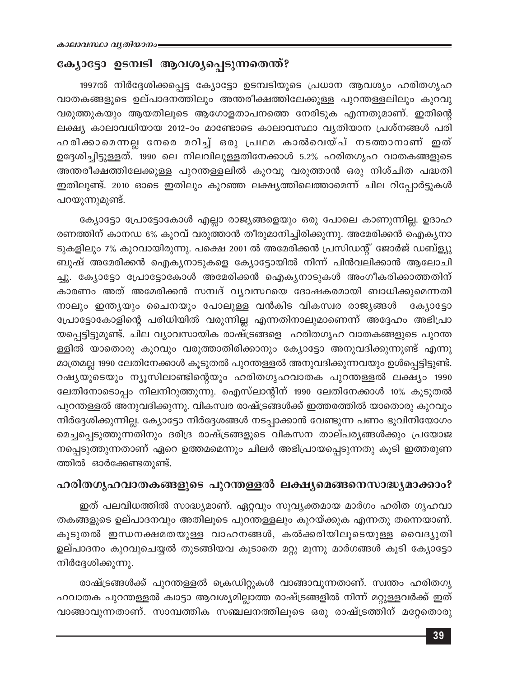#### ക്യോട്ടോ ഉടമ്പടി ആവശ്യപ്പെടുന്നതെന്ത്?

1997ൽ നിർദ്ദേശിക്കപ്പെട്ട ക്യോട്ടോ ഉടമ്പടിയുടെ പ്രധാന ആവശ്യം ഹരിതഗൃഹ വാതകങ്ങളുടെ ഉല്പാദനത്തിലും അന്തരീക്ഷത്തിലേക്കുള്ള പുറന്തള്ളലിലും കുറവു വരുത്തുകയും ആയതിലൂടെ ആഗോളതാപനത്തെ നേരിടുക എന്നതുമാണ്. ഇതിന്റെ ലക്ഷ്യ കാലാവധിയായ 2012-ാം മാണ്ടോടെ കാലാവസ്ഥാ വ്യതിയാന പ്രശ്നങ്ങൾ പരി ഹരിക്കാമെന്നല്ല നേരെ മറിച്ച് ഒരു പ്രഥമ കാൽവെയ്പ് നടത്താനാണ് ഇത് ഉദ്ദേശിച്ചിട്ടുള്ളത്. 1990 ലെ നിലവിലുള്ളതിനേക്കാൾ 5.2% ഹരിതഗൃഹ വാതകങ്ങളുടെ അന്തരീക്ഷത്തിലേക്കുള്ള പുറന്തള്ളലിൽ കുറവു വരുത്താൻ ഒരു നിശ്ചിത പദ്ധതി ഇതിലുണ്ട്. 2010 ഓടെ ഇതിലും കുറഞ്ഞ ലക്ഷ്യത്തിലെത്താമെന്ന് ചില റിപ്പോർട്ടുകൾ പറയുന്നുമുണ്ട്.

ക്യോട്ടോ പ്രോട്ടോകോൾ എല്ലാ രാജ്യങ്ങളെയും ഒരു പോലെ കാണുന്നില്ല. ഉദാഹ രണത്തിന് കാനഡ 6% കുറവ് വരുത്താൻ തീരുമാനിച്ചിരിക്കുന്നു. അമേരിക്കൻ ഐകൃനാ ടുകളിലും 7% കുറവായിരുന്നു. പക്ഷെ 2001 ൽ അമേരിക്കൻ പ്രസിഡന്റ് ജോർജ് ഡബ്ള്യു ബുഷ് അമേരിക്കൻ ഐക്യനാടുകളെ ക്യോട്ടോയിൽ നിന്ന് പിൻവലിക്കാൻ ആലോചി ച്ചു. ക്യോട്ടോ പ്രോട്ടോകോൾ അമേരിക്കൻ ഐക്യനാടുകൾ അംഗീകരിക്കാത്തതിന് കാരണം അത് അമേരിക്കൻ സമ്പദ് വ്യവസ്ഥയെ ദോഷകരമായി ബാധിക്കുമെന്നതി നാലും ഇന്ത്യയും ചൈനയും പോലുള്ള വൻകിട വികസ്വര രാജ്യങ്ങൾ ക്യോട്ടോ പ്രോട്ടോകോളിന്റെ പരിധിയിൽ വരുന്നില്ല എന്നതിനാലുമാണെന്ന് അദ്ദേഹം അഭിപ്രാ യപ്പെട്ടിട്ടുമുണ്ട്. ചില വ്യാവസായിക രാഷ്ട്രങ്ങളെ ഹരിതഗൃഹ വാതകങ്ങളുടെ പുറന്ത ള്ളിൽ യാതൊരു കുറവും വരുത്താതിരിക്കാനും ക്യോട്ടോ അനുവദിക്കുന്നുണ്ട് എന്നു മാത്രമല്ല 1990 ലേതിനേക്കാൾ കൂടുതൽ പുറന്തള്ളൽ അനുവദിക്കുന്നവയും ഉൾപ്പെട്ടിട്ടുണ്ട്. റഷ്യയുടെയും ന്യൂസിലാണ്ടിന്റെയും ഹരിതഗൃഹവാതക പുറന്തള്ളൽ ലക്ഷ്യം 1990 ലേതിനോടൊപ്പം നിലനിറുത്തുന്നു. ഐസ്ലാന്റിന് 1990 ലേതിനേക്കാൾ 10% കൂടുതൽ പുറന്തള്ളൽ അനുവദിക്കുന്നു. വികസ്വര രാഷ്ട്രങ്ങൾക്ക് ഇത്തരത്തിൽ യാതൊരു കുറവും നിർദ്ദേശിക്കുന്നില്ല. ക്യോട്ടോ നിർദ്ദേശങ്ങൾ നടപ്പാക്കാൻ വേണ്ടുന്ന പണം ഭൂവിനിയോഗം മെച്ചപ്പെടുത്തുന്നതിനും ദരിദ്ര രാഷ്ട്രങ്ങളുടെ വികസന താല്പര്യങ്ങൾക്കും പ്രയോജ നപ്പെടുത്തുന്നതാണ് ഏറെ ഉത്തമമെന്നും ചിലർ അഭിപ്രായപ്പെടുന്നതു കൂടി ഇത്തരുണ ത്തിൽ ഓർക്കേണ്ടതുണ്ട്.

#### ഹരിതഗൃഹവാതകങ്ങളുടെ പുറന്തള്ളൽ ലക്ഷ്യമെങ്ങനെസാദ്ധ്യമാക്കാം?

ഇത് പലവിധത്തിൽ സാദ്ധ്യമാണ്. ഏറ്റവും സുവ്യക്തമായ മാർഗം ഹരിത ഗൃഹവാ തകങ്ങളുടെ ഉല്പാദനവും അതിലൂടെ പുറന്തള്ളലും കുറയ്ക്കുക എന്നതു തന്നെയാണ്. കൂടുതൽ ഇന്ധനക്ഷമതയുള്ള വാഹനങ്ങൾ, കൽക്കരിയിലൂടെയുള്ള വൈദ്യുതി ഉല്പാദനം കുറവുചെയ്യൽ തുടങ്ങിയവ കൂടാതെ മറ്റു മൂന്നു മാർഗങ്ങൾ കൂടി ക്യോട്ടോ നിർദ്ദേശിക്കുന്നു.

രാഷ്ട്രങ്ങൾക്ക് പുറന്തള്ളൽ ക്രെഡിറ്റുകൾ വാങ്ങാവുന്നതാണ്. സ്വന്തം ഹരിതഗൃ ഹവാതക പുറന്തള്ളൽ ക്വാട്ടാ ആവശ്യമില്ലാത്ത രാഷ്ട്രങ്ങളിൽ നിന്ന് മറ്റുള്ളവർക്ക് ഇത് വാങ്ങാവുന്നതാണ്. സാമ്പത്തിക സഞ്ചലനത്തിലൂടെ ഒരു രാഷ്ട്രത്തിന് മറ്റേതൊരു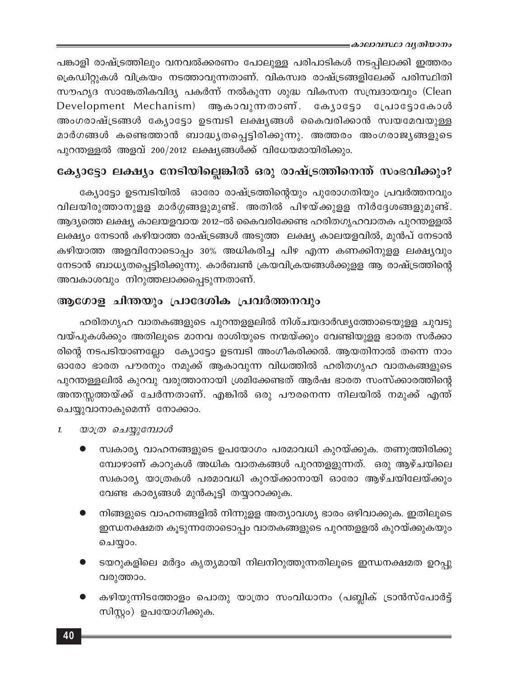പങ്കാളി രാഷ്ട്രത്തിലും വനവൽക്കരണം പോലുള്ള പരിപാടികൾ നടപ്പിലാക്കി ഇത്തരം ക്രെഡിറ്റുകൾ വിക്രയം നടത്താവുന്നതാണ്. വികസ്വര രാഷ്ട്രങ്ങളിലേക്ക് പരിസ്ഥിതി സൗഹൃദ സാങ്കേതികവിദ്യ പകർന്ന് നൽകുന്ന ശുദ്ധ വികസന സമ്പ്രദായവും (Clean Development Mechanism) ആകാവുന്നതാണ്. ക്യോട്ടോ പ്രോട്ടോകോൾ അംഗരാഷ്ട്രങ്ങൾ ക്യോട്ടോ ഉടമ്പടി ലക്ഷ്യങ്ങൾ കൈവരിക്കാൻ സ്വയമേവയുള്ള മാർഗങ്ങൾ കണ്ടെത്താൻ ബാദ്ധ്യതപ്പെട്ടിരിക്കുന്നു. അത്തരം അംഗരാജ്യങ്ങളുടെ പുറന്തള്ളൽ അളവ് 200/2012 ലക്ഷ്യങ്ങൾക്ക് വിധേയമായിരിക്കും.

# ക്യോട്ടോ ലക്ഷ്യം നേടിയില്ലെങ്കിൽ ഒരു രാഷ്ട്രത്തിനെന്ത് സംഭവിക്കും?

ക്യോട്ടോ ഉടമ്പടിയിൽ ഓരോ രാഷ്ട്രത്തിന്റെയും പുരോഗതിയും പ്രവർത്തനവും വിലയിരുത്താനുളള മാർഗ്ഗങ്ങളുമുണ്ട്. അതിൽ പിഴയ്ക്കുളള നിർദ്ദേശങ്ങളുമുണ്ട്. ആദ്യത്തെ ലക്ഷ്യ കാലയളവായ 2012-ൽ കൈവരിക്കേണ്ട ഹരിതഗൃഹവാതക പുറന്തളളൽ ലക്ഷ്യം നേടാൻ കഴിയാത്ത രാഷ്ട്രങ്ങൾ അടുത്ത ലക്ഷ്യ കാലയളവിൽ, മുൻപ് നേടാൻ കഴിയാത്ത അളവിനോടൊപ്പം 30% അധികരിച്ച പിഴ എന്ന കണക്കിനുളള ലക്ഷ്യവും നേടാൻ ബാധ്യതപ്പെട്ടിരിക്കുന്നു. കാർബൺ ക്രയവിക്രയങ്ങൾക്കുളള ആ രാഷ്ട്രത്തിന്റെ അവകാശവും നിറുത്തലാക്കപ്പെടുന്നതാണ്.

## ആഗോള ചിന്തയും പ്രാദേശിക പ്രവർത്തനവും

ഹരിതഗൃഹ വാതകങ്ങളുടെ പുറന്തളളലിൽ നിശ്ചയദാർഢ്യത്തോടെയുളള ചുവടു വയ്പുകൾക്കും അതിലൂടെ മാനവ രാശിയുടെ നന്മയ്ക്കും വേണ്ടിയുളള ഭാരത സർക്കാ രിന്റെ നടപടിയാണല്ലോ ക്യോട്ടോ ഉടമ്പടി അംഗീകരിക്കൽ. ആയതിനാൽ തന്നെ നാം ഓരോ ഭാരത പൗരനും നമുക്ക് ആകാവുന്ന വിധത്തിൽ ഹരിതഗൃഹ വാതകങ്ങളുടെ പുറന്തള്ളലിൽ കുറവു വരുത്താനായി ശ്രമിക്കേണ്ടത് ആർഷ ഭാരത സംസ്ക്കാരത്തിന്റെ അന്തസ്സത്തയ്ക്ക് ചേർന്നതാണ്. എങ്കിൽ ഒരു പൗരനെന്ന നിലയിൽ നമുക്ക് എന്ത് ചെയ്യുവാനാകുമെന്ന് നോക്കാം.

- യാത്ര ചെയ്യുമ്പോൾ  $\mathbf{1}$ 
	- സ്വകാര്യ വാഹനങ്ങളുടെ ഉപയോഗം പരമാവധി കുറയ്ക്കുക. തണുത്തിരിക്കു മ്പോഴാണ് കാറുകൾ അധിക വാതകങ്ങൾ പുറന്തളളുന്നത്. ഒരു ആഴ്ചയിലെ സ്വകാര്യ യാത്രകൾ പരമാവധി കുറയ്ക്കാനായി ഓരോ ആഴ്ചയിലേയ്ക്കും വേണ്ട കാര്യങ്ങൾ മുൻകൂട്ടി തയ്യാറാക്കുക.
	- നിങ്ങളുടെ വാഹനങ്ങളിൽ നിന്നുളള അത്യാവശ്യ ഭാരം ഒഴിവാക്കുക. ഇതിലൂടെ ഇന്ധനക്ഷമത കൂടുന്നതോടൊപ്പം വാതകങ്ങളുടെ പുറന്തളളൽ കുറയ്ക്കുകയും ചെയ്യാം.
	- ടയറുകളിലെ മർദ്ദം കൃത്യമായി നിലനിറുത്തുന്നതിലൂടെ ഇന്ധനക്ഷമത ഉറപ്പു വരുത്താം.
	- കഴിയുന്നിടത്തോളം പൊതു യാത്രാ സംവിധാനം (പബ്ലിക് ട്രാൻസ്പോർട്ട് സിസ്റ്റം) ഉപയോഗിക്കുക.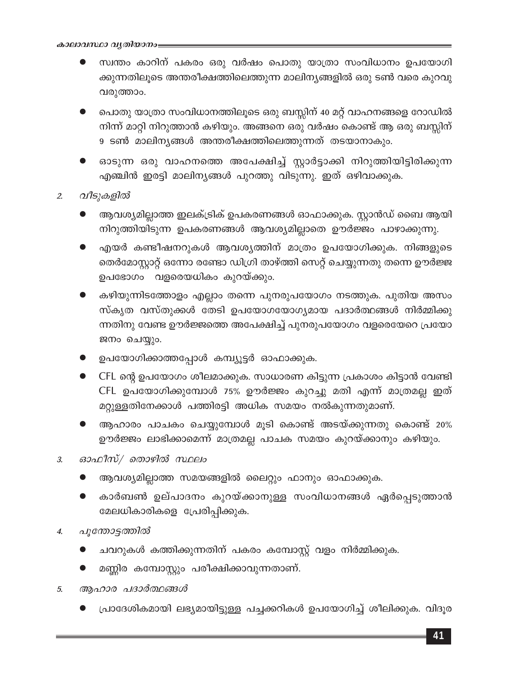- സ്വന്തം കാറിന് പകരം ഒരു വർഷം പൊതു യാത്രാ സംവിധാനം ഉപയോഗി ക്കുന്നതിലൂടെ അന്തരീക്ഷത്തിലെത്തുന്ന മാലിന്യങ്ങളിൽ ഒരു ടൺ വരെ കുറവു വരുത്താം.
- പൊതു യാത്രാ സംവിധാനത്തിലൂടെ ഒരു ബസ്സിന് 40 മറ്റ് വാഹനങ്ങളെ റോഡിൽ നിന്ന് മാറ്റി നിറുത്താൻ കഴിയും. അങ്ങനെ ഒരു വർഷം കൊണ്ട് ആ ഒരു ബസ്സിന് 9 ടൺ മാലിന്യങ്ങൾ അന്തരീക്ഷത്തിലെത്തുന്നത് തടയാനാകും.
- ഓടുന്ന ഒരു വാഹനത്തെ അപേക്ഷിച്ച് സ്റ്റാർട്ടാക്കി നിറുത്തിയിട്ടിരിക്കുന്ന എഞ്ചിൻ ഇരട്ടി മാലിനൃങ്ങൾ പുറത്തു വിടുന്നു. ഇത് ഒഴിവാക്കുക.
- വീടുകളിൽ  $\overline{2}$ 
	- ആവശ്യമില്ലാത്ത ഇലക്ട്രിക് ഉപകരണങ്ങൾ ഓഫാക്കുക. സ്റ്റാൻഡ് ബൈ ആയി നിറുത്തിയിടുന്ന ഉപകരണങ്ങൾ ആവശ്യമില്ലാതെ ഊർജ്ജം പാഴാക്കുന്നു.
	- എയർ കണ്ടീഷനറുകൾ ആവശ്യത്തിന് മാത്രം ഉപയോഗിക്കുക. നിങ്ങളുടെ തെർമോസ്റ്റാറ്റ് ഒന്നോ രണ്ടോ ഡിഗ്രി താഴ്ത്തി സെറ്റ് ചെയ്യുന്നതു തന്നെ ഊർജ്ജ ഉപഭോഗം വളരെയധികം കുറയ്ക്കും.
	- കഴിയുന്നിടത്തോളം എല്ലാം തന്നെ പുനരുപയോഗം നടത്തുക. പുതിയ അസം സ്കൃത വസ്തുക്കൾ തേടി ഉപയോഗയോഗ്യമായ പദാർത്ഥങ്ങൾ നിർമ്മിക്കു ന്നതിനു വേണ്ട ഊർജ്ജത്തെ അപേക്ഷിച്ച് പുനരുപയോഗം വളരെയേറെ പ്രയോ ജനം ചെയ്യും.
	- ഉപയോഗിക്കാത്തപ്പോൾ കമ്പ്യൂട്ടർ ഓഫാക്കുക.
	- CFL ന്റെ ഉപയോഗം ശീലമാക്കുക. സാധാരണ കിട്ടുന്ന പ്രകാശം കിട്ടാൻ വേണ്ടി CFL ഉപയോഗിക്കുമ്പോൾ 75% ഊർജ്ജം കുറച്ചു മതി എന്ന് മാത്രമല്ല ഇത് മറ്റുള്ളതിനേക്കാൾ പത്തിരട്ടി അധിക സമയം നൽകുന്നതുമാണ്.
	- ആഹാരം പാചകം ചെയ്യുമ്പോൾ മൂടി കൊണ്ട് അടയ്ക്കുന്നതു കൊണ്ട് 20% ഊർജ്ജം ലാഭിക്കാമെന്ന് മാത്രമല്ല പാചക സമയം കുറയ്ക്കാനും കഴിയും.
- ഓഫീസ്/ തൊഴിൽ സ്ഥലം  $\overline{3}$ .
	- ആവശ്യമില്ലാത്ത സമയങ്ങളിൽ ലൈറ്റും ഫാനും ഓഫാക്കുക.
	- കാർബൺ ഉല്പാദനം കുറയ്ക്കാനുള്ള സംവിധാനങ്ങൾ ഏർപ്പെടുത്താൻ മേലധികാരികളെ പ്രേരിപ്പിക്കുക.
- പൂന്തോട്ടത്തിൽ  $\boldsymbol{4}$ .
	- ചവറുകൾ കത്തിക്കുന്നതിന് പകരം കമ്പോസ്റ്റ് വളം നിർമ്മിക്കുക.
	- മണ്ണിര കമ്പോസ്റ്റും പരീക്ഷിക്കാവുന്നതാണ്.
- ആഹാര പദാർത്ഥങ്ങൾ 5.
	- പ്രാദേശികമായി ലഭ്യമായിട്ടുള്ള പച്ചക്കറികൾ ഉപയോഗിച്ച് ശീലിക്കുക. വിദൂര